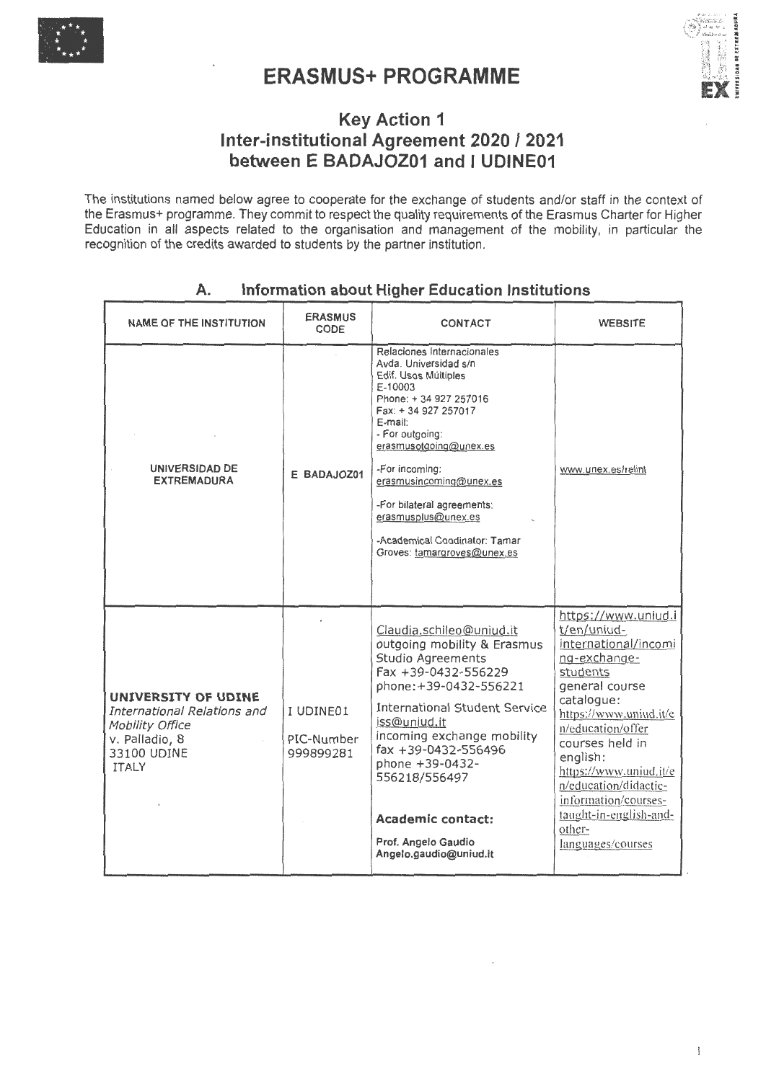

# • **ERASMUS+PROGRAMME**



# **Key Action 1 lnter-institutional Agreement 2020 I 2021 between E BADAJOZ01 and 1 UDINE01**

The institutions named below agree to cooperate for the exchange of students and/or staff in the context of the Erasmus+ programme. They commit to respect the quality requirements of the Erasmus Charter for Higher Education in all aspects related to the organisation and management of the mobility, in particular the recognition of the credits awarded to students by the partner institution.

| <b>NAME OF THE INSTITUTION</b>                                                                                         | <b>ERASMUS</b><br>CODE               | <b>CONTACT</b>                                                                                                                                                                                                                                                                                                                                                   | <b>WEBSITE</b>                                                                                                                                                                                                                                                                                                                           |
|------------------------------------------------------------------------------------------------------------------------|--------------------------------------|------------------------------------------------------------------------------------------------------------------------------------------------------------------------------------------------------------------------------------------------------------------------------------------------------------------------------------------------------------------|------------------------------------------------------------------------------------------------------------------------------------------------------------------------------------------------------------------------------------------------------------------------------------------------------------------------------------------|
| UNIVERSIDAD DE<br><b>EXTREMADURA</b>                                                                                   | E BADAJOZ01                          | Relaciones Internacionales<br>Avda, Universidad s/n<br>Edif. Usos Múltiples<br>E-10003<br>Phone: +34 927 257016<br>Fax: +34 927 257017<br>E-mail:<br>- For outgoing:<br>erasmusotgoing@unex.es<br>-For incoming:<br>erasmusincoming@unex.es<br>-For bilateral agreements:<br>erasmusplus@unex.es<br>-Academical Coodinator: Tamar<br>Groves: tamargroves@unex.es | www.unex.es/relint                                                                                                                                                                                                                                                                                                                       |
| UNIVERSITY OF UDINE<br>International Relations and<br>Mobility Office<br>v. Palladio, 8<br>33100 UDINE<br><b>ITALY</b> | I UDINE01<br>PIC-Number<br>999899281 | Claudia.schileo@uniud.it<br>outgoing mobility & Erasmus<br>Studio Agreements<br>Fax +39-0432-556229<br>phone: +39-0432-556221<br><b>International Student Service</b><br>iss@uniud.it<br>incoming exchange mobility<br>fax +39-0432-556496<br>phone +39-0432-<br>556218/556497<br><b>Academic contact:</b><br>Prof. Angelo Gaudio<br>Angelo.gaudio@uniud.it      | https://www.uniud.i<br>t/en/uniud-<br>international/incomi<br>ng-exchange-<br>students<br>general course<br>catalogue:<br>https://www.uniud.it/e<br>n/education/offer<br>courses held in<br>english:<br>https://www.uniud.it/e<br>n/education/didactic-<br>information/courses-<br>taught-in-english-and-<br>other-<br>languages/courses |

# **A. lnformation about Higher Education lnstitutions**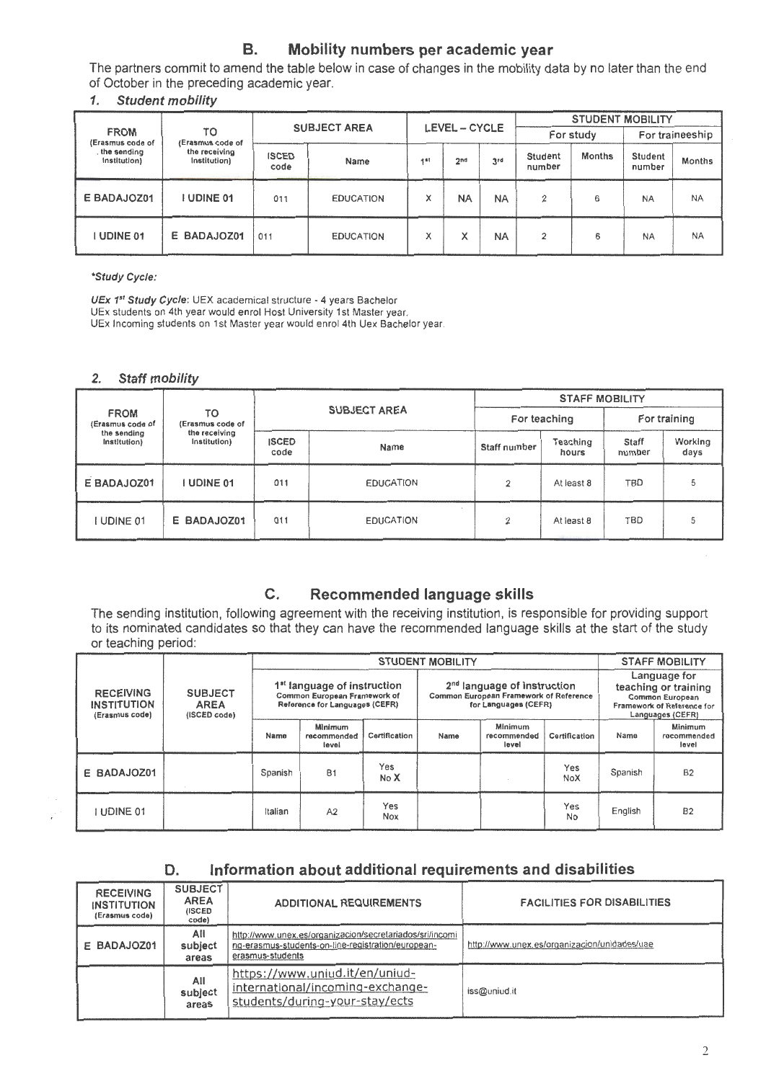# B. Mobility numbers per academic year

The partners commit to amend the table below in case of changes in the mobility data by no later than the end of October in the preceding academic year.

### 1. Student mobility

|                                                              |                        |                     |                  |                 |                   |                          | <b>STUDENT MOBILITY</b> |                   |           |           |
|--------------------------------------------------------------|------------------------|---------------------|------------------|-----------------|-------------------|--------------------------|-------------------------|-------------------|-----------|-----------|
| <b>FROM</b><br>(Erasmus code of                              | TO<br>(Erasmus code of | <b>SUBJECT AREA</b> |                  | LEVEL - CYCLE   |                   | For study                |                         | For traineeship   |           |           |
| the receiving<br>the sending<br>Institution)<br>Institution) | <b>ISCED</b><br>code   | Name                | 4st              | 2 <sub>nd</sub> | 3rd               | <b>Student</b><br>number | <b>Months</b>           | Student<br>number | Months    |           |
| E BADAJOZ01                                                  | <b>I UDINE 01</b>      | 011                 | <b>EDUCATION</b> | x               | <b>NA</b>         | <b>NA</b>                | 2                       | 6                 | <b>NA</b> | <b>NA</b> |
| UDINE 01                                                     | E BADAJOZ01            | 011                 | <b>EDUCATION</b> | Χ               | $\checkmark$<br>ᄉ | <b>NA</b>                | 2                       | 6                 | <b>NA</b> | <b>NA</b> |

\*Study Cycle:

UEx *1s*1 Study Cycle: UEX academical structure - 4 years Bachelor UEx students on 4th year would enrol Host University 1 st Master year. UEx Incoming students on 1st Master year would enrol 4th Uex Bachelor year.

### 2. Staff mobility

|                                                              |                        |                      |                  | <b>STAFF MOBILITY</b> |                   |                 |                 |
|--------------------------------------------------------------|------------------------|----------------------|------------------|-----------------------|-------------------|-----------------|-----------------|
| <b>FROM</b><br>(Erasmus code of                              | TO<br>(Erasmus code of | <b>SUBJECT AREA</b>  |                  | For teaching          |                   | For training    |                 |
| the receiving<br>the sending<br>Institution)<br>Institution) |                        | <b>ISCED</b><br>code | Name             | Staff number          | Teaching<br>hours | Staff<br>number | Working<br>days |
| E BADAJOZ01                                                  | I UDINE 01             | 011                  | <b>EDUCATION</b> | 2                     | At least 8        | TBD             | b               |
| UDINE 01                                                     | E BADAJOZ01            | 011                  | <b>EDUCATION</b> | 2                     | At least 8        | TBD             |                 |

# C. Recommended language skills

The sending institution, following agreement with the receiving institution, is responsible far providing support to its nominated candidates so that they can have the recommended language skills at the start of the study or teaching period:

|                                                                                                           |                                                                                                           |         | <b>STUDENT MOBILITY</b>                                                                         |               |      |                                                                                                           |               | <b>STAFF MOBILITY</b> |                                 |
|-----------------------------------------------------------------------------------------------------------|-----------------------------------------------------------------------------------------------------------|---------|-------------------------------------------------------------------------------------------------|---------------|------|-----------------------------------------------------------------------------------------------------------|---------------|-----------------------|---------------------------------|
| <b>SUBJECT</b><br><b>RECEIVING</b><br><b>INSTITUTION</b><br><b>AREA</b><br>(ISCED code)<br>(Erasmus code) | 1 <sup>st</sup> language of instruction<br>Common European Framework of<br>Reference for Languages (CEFR) |         | $2nd$ language of instruction<br>Common European Framework of Reference<br>for Languages (CEFR) |               |      | Language for<br>teaching or training<br>Common European<br>Framework of Reference for<br>Languages (CEFR) |               |                       |                                 |
|                                                                                                           |                                                                                                           | Name    | Minimum<br>recommended<br>level                                                                 | Certification | Name | Minimum<br>recommended<br>level                                                                           | Certification | Name                  | Minimum<br>rocommended<br>level |
| E BADAJOZ01                                                                                               |                                                                                                           | Spanish | <b>B1</b>                                                                                       | Yes<br>No X   |      |                                                                                                           | Yes<br>NoX    | Spanish               | <b>B2</b>                       |
| UDINE 01                                                                                                  |                                                                                                           | Italian | A2                                                                                              | Yes<br>Nox    |      |                                                                                                           | Yes<br>No     | English               | B <sub>2</sub>                  |

# D. lnformation about additional requirements and disabilities

| <b>RECEIVING</b><br><b>INSTITUTION</b><br>(Erasmus code) | <b>SUBJECT</b><br><b>AREA</b><br><b>(ISCED)</b><br>code) | <b>ADDITIONAL REQUIREMENTS</b>                                                                                                     | <b>FACILITIES FOR DISABILITIES</b>           |
|----------------------------------------------------------|----------------------------------------------------------|------------------------------------------------------------------------------------------------------------------------------------|----------------------------------------------|
| E BADAJOZ01                                              | All<br>subject<br>areas                                  | http://www.unex.es/organizacion/secretariados/sri/incomi<br>ng-erasmus-students-on-line-registration/european-<br>erasmus-students | http://www.unex.es/organizacion/unidades/uae |
|                                                          | All<br>subject<br>areas                                  | https://www.uniud.it/en/uniud-<br>international/incoming-exchange-<br>students/during-your-stay/ects                               | iss@uniud.it                                 |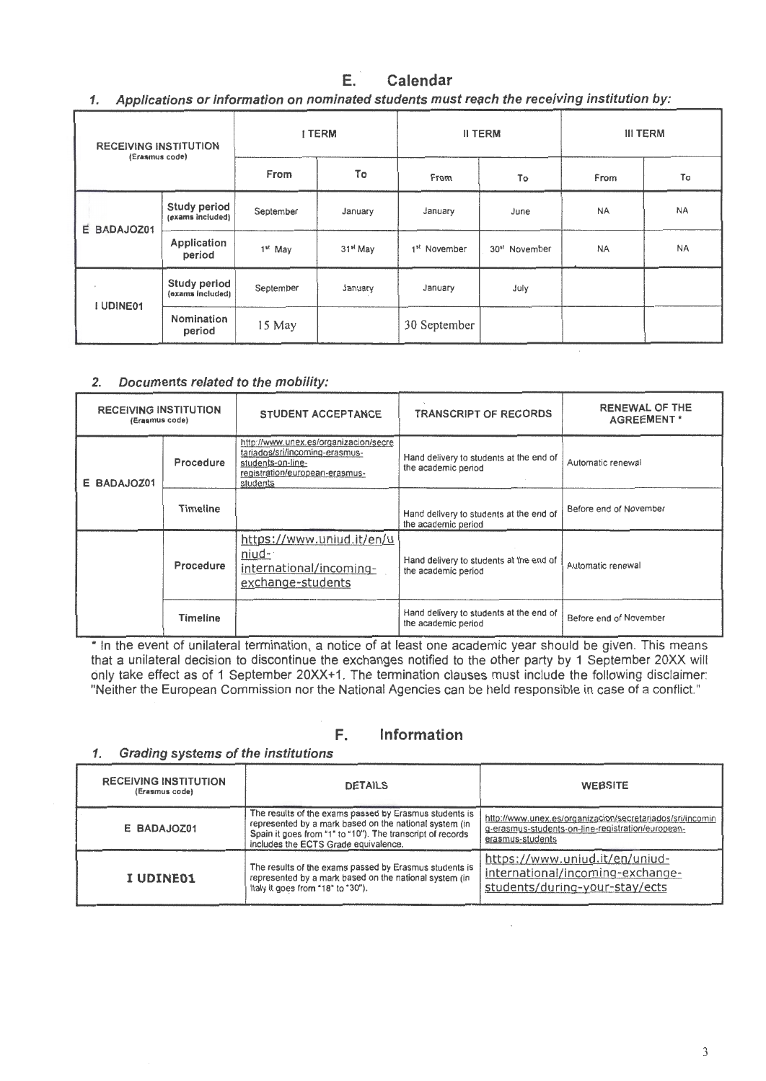#### E. Calendar

1. Applications or information on nominated students must reach the receiving institution by:

| <b>RECEIVING INSTITUTION</b><br>(Erasmus code) |                                  | <b>I TERM</b>       |                      | <b>II TERM</b>           |                           | <b>III TERM</b> |           |
|------------------------------------------------|----------------------------------|---------------------|----------------------|--------------------------|---------------------------|-----------------|-----------|
|                                                |                                  | From                | To                   | From                     | To                        | From            | To        |
|                                                | Study period<br>(exams included) | September           | January              | January                  | June                      | <b>NA</b>       | NA        |
| E BADAJOZ01                                    | Application<br>period            | 1 <sup>st</sup> May | 31 <sup>st</sup> May | 1 <sup>st</sup> November | 30 <sup>st</sup> November | <b>NA</b>       | <b>NA</b> |
| I UDINE01                                      | Study period<br>(exams included) | September           | January              | January                  | July                      |                 |           |
|                                                | Nomination<br>period             | 15 May              |                      | 30 September             |                           |                 |           |

### 2. Documents related to the mobility:

| <b>RECEIVING INSTITUTION</b><br>(Erasmus code) |                 | <b>STUDENT ACCEPTANCE</b>                                                                                                                  | <b>TRANSCRIPT OF RECORDS</b>                                   | RENEWAL OF THE<br><b>AGREEMENT*</b> |  |
|------------------------------------------------|-----------------|--------------------------------------------------------------------------------------------------------------------------------------------|----------------------------------------------------------------|-------------------------------------|--|
| E BADAJOZ01                                    | Procedure       | http://www.unex.es/organizacion/secre<br>tariados/sri/incoming-erasmus-<br>students-on-line-<br>registration/european-erasmus-<br>students | Hand delivery to students at the end of<br>the academic period | Automatic renewal                   |  |
|                                                | <b>Timeline</b> |                                                                                                                                            | Hand delivery to students at the end of<br>the academic period | Before end of November              |  |
|                                                | Procedure       | https://www.uniud.it/en/u<br>niud-<br>international/incoming-<br>exchange-students                                                         | Hand delivery to students at the end of<br>the academic period | Automatic renewal                   |  |
|                                                | <b>Timeline</b> |                                                                                                                                            | Hand delivery to students at the end of<br>the academic period | Before end of November              |  |

\* In the event of unilateral termination, a notice of at least one academic year should be given. This means that a unilateral decision to discontinue the exchanges notified to the other party by 1 September 20XX will only take effect as of 1 September 20XX+1. The termination clauses must include the following disclaimer: "Neither the European Commission nor the National Agencies can be held responsible in case of a conflict."

#### F. Information

Grading systems of the institutions 1.

| <b>RECEIVING INSTITUTION</b><br>(Erasmus code) | <b>DETAILS</b>                                                                                                                                                                                                         | <b>WEBSITE</b>                                                                                                                     |
|------------------------------------------------|------------------------------------------------------------------------------------------------------------------------------------------------------------------------------------------------------------------------|------------------------------------------------------------------------------------------------------------------------------------|
| E BADAJOZ01                                    | The results of the exams passed by Erasmus students is<br>represented by a mark based on the national system (in<br>Spain it goes from "1" to "10"). The transcript of records<br>includes the ECTS Grade equivalence. | http://www.unex.es/organizacion/secretariados/sri/incomin<br>g-erasmus-students-on-line-registration/european-<br>erasmus-students |
| <b>I UDINE01</b>                               | The results of the exams passed by Erasmus students is<br>represented by a mark based on the national system (in<br>Italy it goes from "18" to "30").                                                                  | https://www.uniud.it/en/uniud-<br>international/incoming-exchange-<br>students/during-your-stay/ects                               |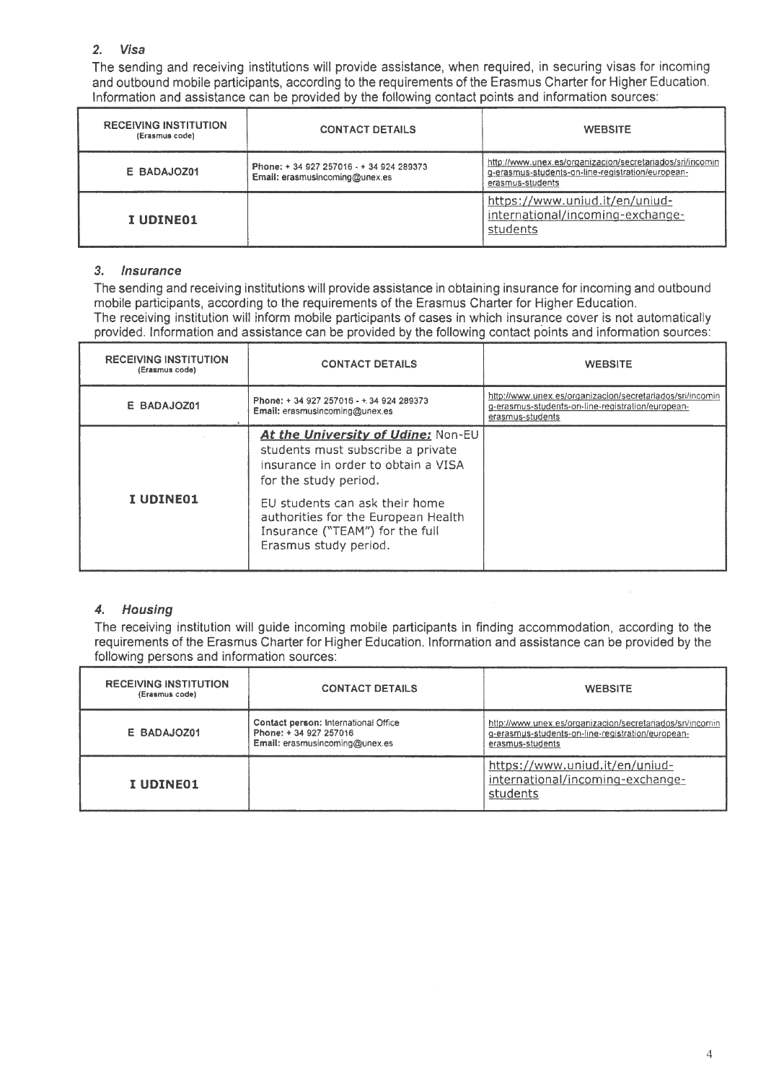### 2. Visa

The sending and receiving institutions will provide assistance, when required, in securing visas for incoming and outbound mobile participants, according to the requirements of the Erasmus Charter for Higher Education. lnformation and assistance can be provided by the following contact points and information sources:

| <b>RECEIVING INSTITUTION</b><br>(Erasmus code) | <b>CONTACT DETAILS</b>                                                     | <b>WEBSITE</b>                                                                                                                     |
|------------------------------------------------|----------------------------------------------------------------------------|------------------------------------------------------------------------------------------------------------------------------------|
| E BADAJOZ01                                    | Phone: + 34 927 257016 - + 34 924 289373<br>Email: erasmusincoming@unex.es | http://www.unex.es/organizacion/secretariados/sri/incomin<br>g-erasmus-students-on-line-registration/european-<br>erasmus-students |
| I UDINE01                                      |                                                                            | https://www.uniud.it/en/uniud-<br>international/incoming-exchange-<br>students                                                     |

### 3. lnsurance

The sending and receiving institutions will provide assistance in obtaining insurance for incoming and outbound mobile participants, according to the requirements of the Erasmus Charter for Higher Education. The receiving institution will inform mobile participants of cases in which insurance cover is not automatically provided. lnformation and assistance can be provided by the following contact points and information sources:

| <b>RECEIVING INSTITUTION</b><br>(Erasmus code) | <b>CONTACT DETAILS</b>                                                                                                                                                                                                                                                       | <b>WEBSITE</b>                                                                                                                     |
|------------------------------------------------|------------------------------------------------------------------------------------------------------------------------------------------------------------------------------------------------------------------------------------------------------------------------------|------------------------------------------------------------------------------------------------------------------------------------|
| E BADAJOZ01                                    | Phone: + 34 927 257016 - + 34 924 289373<br>Email: erasmusincoming@unex.es                                                                                                                                                                                                   | http://www.unex.es/organizacion/secretariados/sri/incomin<br>g-erasmus-students-on-line-registration/european-<br>erasmus-students |
| <b>I UDINE01</b>                               | At the University of Udine: Non-EU<br>students must subscribe a private<br>insurance in order to obtain a VISA<br>for the study period.<br>EU students can ask their home<br>authorities for the European Health<br>Insurance ("TEAM") for the full<br>Erasmus study period. |                                                                                                                                    |

### *4.* Housíng

The receiving institution will guide incoming mobile participants in finding accommodation, according to the requirements of the Erasmus Charter for Higher Education. lnformation and assistance can be provided by the following persons and information sources:

| <b>RECEIVING INSTITUTION</b><br>(Erasmus code) | <b>CONTACT DETAILS</b>                                                                          | <b>WEBSITE</b>                                                                                                                    |
|------------------------------------------------|-------------------------------------------------------------------------------------------------|-----------------------------------------------------------------------------------------------------------------------------------|
| E BADAJOZ01                                    | Contact person: International Office<br>Phone: +34 927 257016<br>Email: erasmusincoming@unex.es | http://www.unex.es/organizacion/secretariados/sn/incomin<br>g-erasmus-students-on-line-registration/european-<br>erasmus-students |
| I UDINE01                                      |                                                                                                 | https://www.uniud.it/en/uniud-<br>international/incoming-exchange-<br>students                                                    |